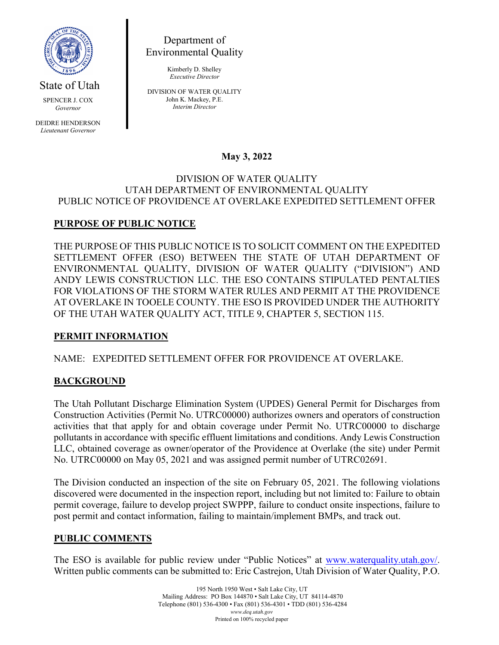

State of Utah

SPENCER J. COX *Governor*

DEIDRE HENDERSON *Lieutenant Governor*

Department of Environmental Quality

> Kimberly D. Shelley *Executive Director*

DIVISION OF WATER QUALITY John K. Mackey, P.E. *Interim Director*

## **May 3, 2022**

#### DIVISION OF WATER QUALITY UTAH DEPARTMENT OF ENVIRONMENTAL QUALITY PUBLIC NOTICE OF PROVIDENCE AT OVERLAKE EXPEDITED SETTLEMENT OFFER

# **PURPOSE OF PUBLIC NOTICE**

THE PURPOSE OF THIS PUBLIC NOTICE IS TO SOLICIT COMMENT ON THE EXPEDITED SETTLEMENT OFFER (ESO) BETWEEN THE STATE OF UTAH DEPARTMENT OF ENVIRONMENTAL QUALITY, DIVISION OF WATER QUALITY ("DIVISION") AND ANDY LEWIS CONSTRUCTION LLC. THE ESO CONTAINS STIPULATED PENTALTIES FOR VIOLATIONS OF THE STORM WATER RULES AND PERMIT AT THE PROVIDENCE AT OVERLAKE IN TOOELE COUNTY. THE ESO IS PROVIDED UNDER THE AUTHORITY OF THE UTAH WATER QUALITY ACT, TITLE 9, CHAPTER 5, SECTION 115.

### **PERMIT INFORMATION**

### NAME: EXPEDITED SETTLEMENT OFFER FOR PROVIDENCE AT OVERLAKE.

### **BACKGROUND**

The Utah Pollutant Discharge Elimination System (UPDES) General Permit for Discharges from Construction Activities (Permit No. UTRC00000) authorizes owners and operators of construction activities that that apply for and obtain coverage under Permit No. UTRC00000 to discharge pollutants in accordance with specific effluent limitations and conditions. Andy Lewis Construction LLC, obtained coverage as owner/operator of the Providence at Overlake (the site) under Permit No. UTRC00000 on May 05, 2021 and was assigned permit number of UTRC02691.

The Division conducted an inspection of the site on February 05, 2021. The following violations discovered were documented in the inspection report, including but not limited to: Failure to obtain permit coverage, failure to develop project SWPPP, failure to conduct onsite inspections, failure to post permit and contact information, failing to maintain/implement BMPs, and track out.

### **PUBLIC COMMENTS**

The ESO is available for public review under "Public Notices" at [www.waterquality.utah.gov/.](http://www.waterquality.utah.gov/) Written public comments can be submitted to: Eric Castrejon, Utah Division of Water Quality, P.O.

> 195 North 1950 West • Salt Lake City, UT Mailing Address: PO Box 144870 • Salt Lake City, UT 84114-4870 Telephone (801) 536-4300 • Fax (801) 536-4301 • TDD (801) 536-4284 *www.deq.utah.gov* Printed on 100% recycled paper